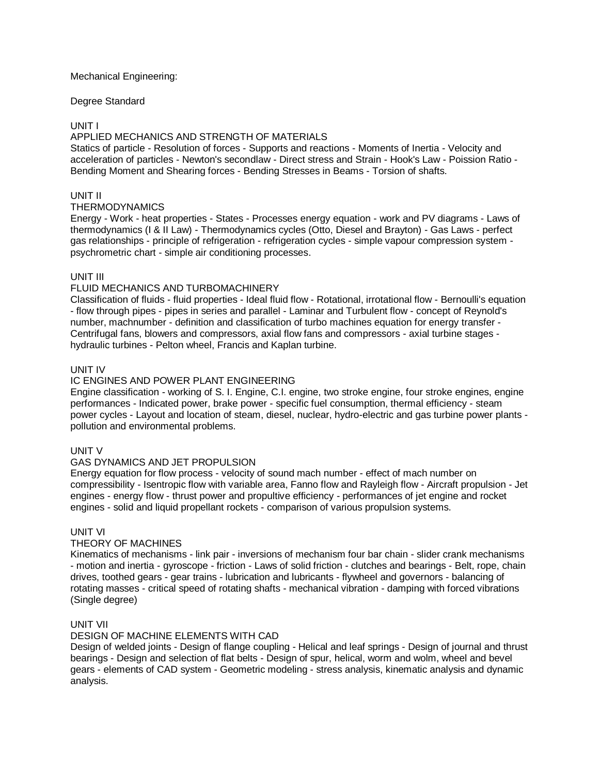### Mechanical Engineering:

### Degree Standard

# UNIT I

# APPLIED MECHANICS AND STRENGTH OF MATERIALS

Statics of particle - Resolution of forces - Supports and reactions - Moments of Inertia - Velocity and acceleration of particles - Newton's secondlaw - Direct stress and Strain - Hook's Law - Poission Ratio - Bending Moment and Shearing forces - Bending Stresses in Beams - Torsion of shafts.

# UNIT II

#### THERMODYNAMICS

Energy - Work - heat properties - States - Processes energy equation - work and PV diagrams - Laws of thermodynamics (I & II Law) - Thermodynamics cycles (Otto, Diesel and Brayton) - Gas Laws - perfect gas relationships - principle of refrigeration - refrigeration cycles - simple vapour compression system psychrometric chart - simple air conditioning processes.

# UNIT III

### FLUID MECHANICS AND TURBOMACHINERY

Classification of fluids - fluid properties - Ideal fluid flow - Rotational, irrotational flow - Bernoulli's equation - flow through pipes - pipes in series and parallel - Laminar and Turbulent flow - concept of Reynold's number, machnumber - definition and classification of turbo machines equation for energy transfer - Centrifugal fans, blowers and compressors, axial flow fans and compressors - axial turbine stages hydraulic turbines - Pelton wheel, Francis and Kaplan turbine.

### UNIT IV

### IC ENGINES AND POWER PLANT ENGINEERING

Engine classification - working of S. I. Engine, C.I. engine, two stroke engine, four stroke engines, engine performances - Indicated power, brake power - specific fuel consumption, thermal efficiency - steam power cycles - Layout and location of steam, diesel, nuclear, hydro-electric and gas turbine power plants pollution and environmental problems.

### UNIT V

### GAS DYNAMICS AND JET PROPULSION

Energy equation for flow process - velocity of sound mach number - effect of mach number on compressibility - Isentropic flow with variable area, Fanno flow and Rayleigh flow - Aircraft propulsion - Jet engines - energy flow - thrust power and propultive efficiency - performances of jet engine and rocket engines - solid and liquid propellant rockets - comparison of various propulsion systems.

# UNIT VI

### THEORY OF MACHINES

Kinematics of mechanisms - link pair - inversions of mechanism four bar chain - slider crank mechanisms - motion and inertia - gyroscope - friction - Laws of solid friction - clutches and bearings - Belt, rope, chain drives, toothed gears - gear trains - lubrication and lubricants - flywheel and governors - balancing of rotating masses - critical speed of rotating shafts - mechanical vibration - damping with forced vibrations (Single degree)

### UNIT VII

### DESIGN OF MACHINE ELEMENTS WITH CAD

Design of welded joints - Design of flange coupling - Helical and leaf springs - Design of journal and thrust bearings - Design and selection of flat belts - Design of spur, helical, worm and wolm, wheel and bevel gears - elements of CAD system - Geometric modeling - stress analysis, kinematic analysis and dynamic analysis.